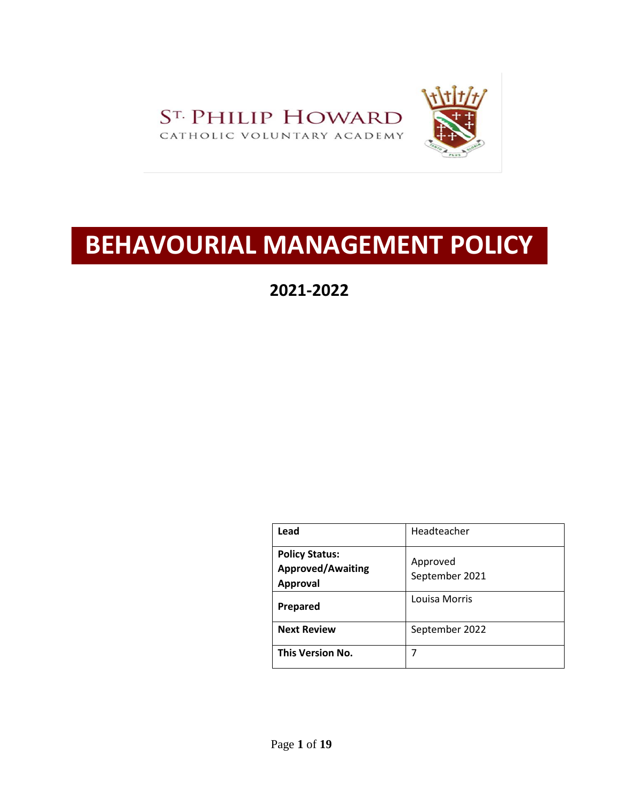

# **BEHAVOURIAL MANAGEMENT POLICY**

**2021-2022**

| Lead                                                                 | Headteacher                |
|----------------------------------------------------------------------|----------------------------|
| <b>Policy Status:</b><br><b>Approved/Awaiting</b><br><b>Approval</b> | Approved<br>September 2021 |
| Prepared                                                             | Louisa Morris              |
| <b>Next Review</b>                                                   | September 2022             |
| This Version No.                                                     | 7                          |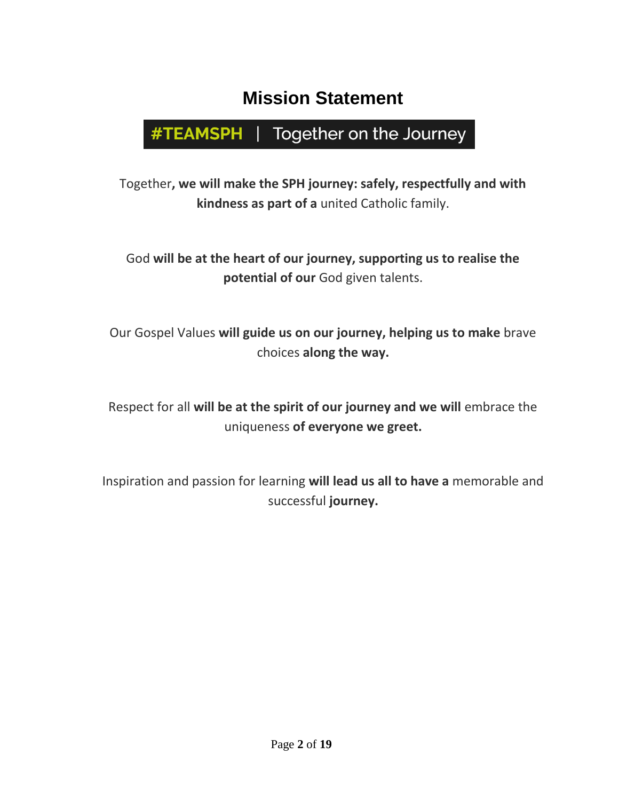## **Mission Statement**

## #TEAMSPH | Together on the Journey

Together**, we will make the SPH journey: safely, respectfully and with kindness as part of a** united Catholic family.

God **will be at the heart of our journey, supporting us to realise the potential of our** God given talents.

Our Gospel Values **will guide us on our journey, helping us to make** brave choices **along the way.**

Respect for all **will be at the spirit of our journey and we will** embrace the uniqueness **of everyone we greet.**

Inspiration and passion for learning **will lead us all to have a** memorable and successful **journey.**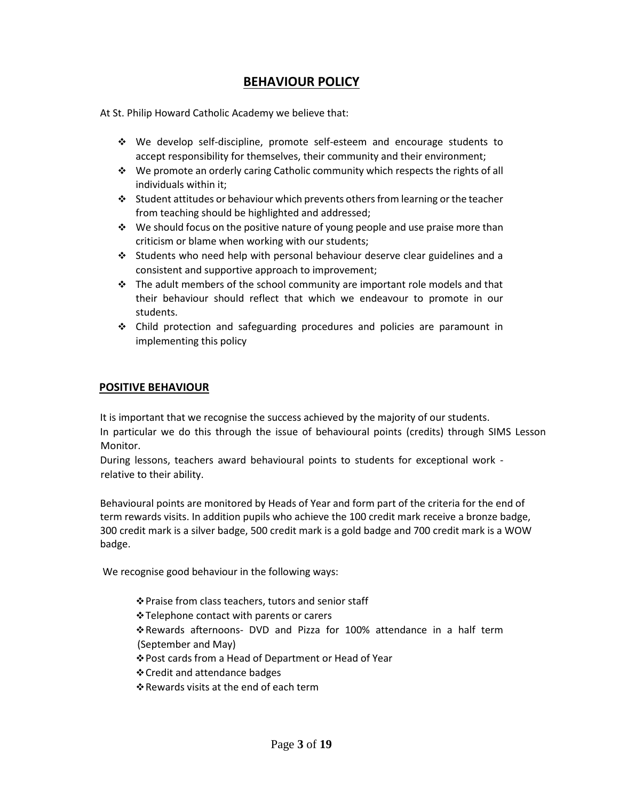## **BEHAVIOUR POLICY**

At St. Philip Howard Catholic Academy we believe that:

- We develop self-discipline, promote self-esteem and encourage students to accept responsibility for themselves, their community and their environment;
- $\div$  We promote an orderly caring Catholic community which respects the rights of all individuals within it;
- $\cdot$  Student attitudes or behaviour which prevents others from learning or the teacher from teaching should be highlighted and addressed;
- $\cdot \cdot$  We should focus on the positive nature of young people and use praise more than criticism or blame when working with our students;
- Students who need help with personal behaviour deserve clear guidelines and a consistent and supportive approach to improvement;
- $\cdot \cdot$  The adult members of the school community are important role models and that their behaviour should reflect that which we endeavour to promote in our students.
- Child protection and safeguarding procedures and policies are paramount in implementing this policy

## **POSITIVE BEHAVIOUR**

It is important that we recognise the success achieved by the majority of our students. In particular we do this through the issue of behavioural points (credits) through SIMS Lesson Monitor.

During lessons, teachers award behavioural points to students for exceptional work relative to their ability.

Behavioural points are monitored by Heads of Year and form part of the criteria for the end of term rewards visits. In addition pupils who achieve the 100 credit mark receive a bronze badge, 300 credit mark is a silver badge, 500 credit mark is a gold badge and 700 credit mark is a WOW badge.

We recognise good behaviour in the following ways:

Praise from class teachers, tutors and senior staff

- Telephone contact with parents or carers
- Rewards afternoons- DVD and Pizza for 100% attendance in a half term (September and May)
- Post cards from a Head of Department or Head of Year
- Credit and attendance badges
- Rewards visits at the end of each term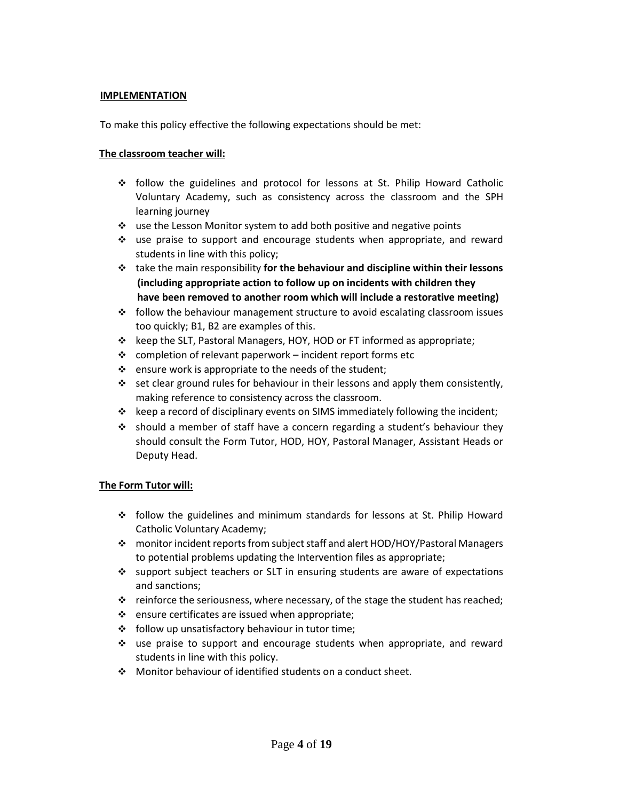#### **IMPLEMENTATION**

To make this policy effective the following expectations should be met:

#### **The classroom teacher will:**

- follow the guidelines and protocol for lessons at St. Philip Howard Catholic Voluntary Academy, such as consistency across the classroom and the SPH learning journey
- use the Lesson Monitor system to add both positive and negative points
- $\div$  use praise to support and encourage students when appropriate, and reward students in line with this policy;
- take the main responsibility **for the behaviour and discipline within their lessons (including appropriate action to follow up on incidents with children they have been removed to another room which will include a restorative meeting)**
- $\div$  follow the behaviour management structure to avoid escalating classroom issues too quickly; B1, B2 are examples of this.
- $\div$  keep the SLT, Pastoral Managers, HOY, HOD or FT informed as appropriate;
- $\cdot \cdot$  completion of relevant paperwork incident report forms etc
- $\cdot \cdot$  ensure work is appropriate to the needs of the student;
- $\div$  set clear ground rules for behaviour in their lessons and apply them consistently, making reference to consistency across the classroom.
- $\div$  keep a record of disciplinary events on SIMS immediately following the incident;
- $\cdot \cdot$  should a member of staff have a concern regarding a student's behaviour they should consult the Form Tutor, HOD, HOY, Pastoral Manager, Assistant Heads or Deputy Head.

#### **The Form Tutor will:**

- $\div$  follow the guidelines and minimum standards for lessons at St. Philip Howard Catholic Voluntary Academy;
- monitor incident reports from subject staff and alert HOD/HOY/Pastoral Managers to potential problems updating the Intervention files as appropriate;
- support subject teachers or SLT in ensuring students are aware of expectations and sanctions;
- $\div$  reinforce the seriousness, where necessary, of the stage the student has reached;
- $\cdot$  ensure certificates are issued when appropriate;
- $\div$  follow up unsatisfactory behaviour in tutor time;
- $\cdot \cdot$  use praise to support and encourage students when appropriate, and reward students in line with this policy.
- Monitor behaviour of identified students on a conduct sheet.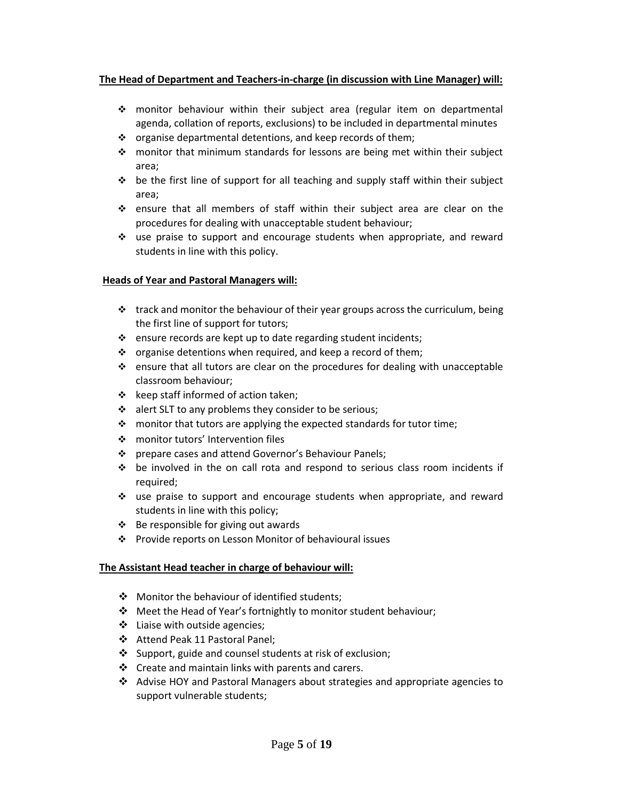#### **The Head of Department and Teachers-in-charge (in discussion with Line Manager) will:**

- monitor behaviour within their subject area (regular item on departmental agenda, collation of reports, exclusions) to be included in departmental minutes
- $\cdot \cdot$  organise departmental detentions, and keep records of them;
- $\cdot \cdot$  monitor that minimum standards for lessons are being met within their subject area;
- $\div$  be the first line of support for all teaching and supply staff within their subject area;
- $\div$  ensure that all members of staff within their subject area are clear on the procedures for dealing with unacceptable student behaviour;
- $\cdot \cdot$  use praise to support and encourage students when appropriate, and reward students in line with this policy.

#### **Heads of Year and Pastoral Managers will:**

- $\cdot$  track and monitor the behaviour of their year groups across the curriculum, being the first line of support for tutors;
- $\cdot$  ensure records are kept up to date regarding student incidents;
- $\cdot \cdot$  organise detentions when required, and keep a record of them;
- $\div$  ensure that all tutors are clear on the procedures for dealing with unacceptable classroom behaviour;
- $\div$  keep staff informed of action taken;
- $\cdot \cdot$  alert SLT to any problems they consider to be serious;
- $\div$  monitor that tutors are applying the expected standards for tutor time;
- monitor tutors' Intervention files
- ❖ prepare cases and attend Governor's Behaviour Panels;
- $\div$  be involved in the on call rota and respond to serious class room incidents if required;
- $\div$  use praise to support and encourage students when appropriate, and reward students in line with this policy;
- $\div$  Be responsible for giving out awards
- Provide reports on Lesson Monitor of behavioural issues

## **The Assistant Head teacher in charge of behaviour will:**

- ❖ Monitor the behaviour of identified students;
- Meet the Head of Year's fortnightly to monitor student behaviour;
- $\cdot$  Liaise with outside agencies;
- Attend Peak 11 Pastoral Panel;
- $\bullet$  Support, guide and counsel students at risk of exclusion;
- $\div$  Create and maintain links with parents and carers.
- $\triangleleft$  Advise HOY and Pastoral Managers about strategies and appropriate agencies to support vulnerable students;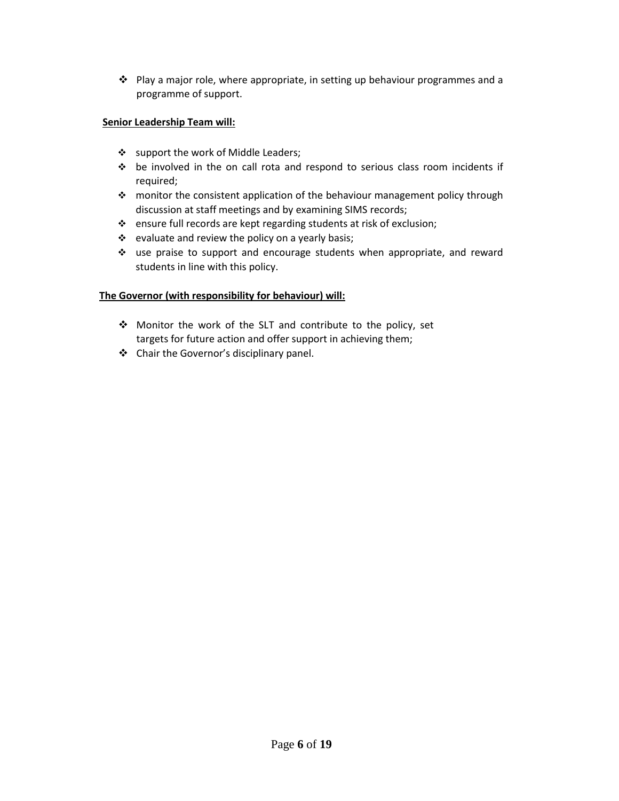$\cdot \cdot$  Play a major role, where appropriate, in setting up behaviour programmes and a programme of support.

## **Senior Leadership Team will:**

- Support the work of Middle Leaders;
- be involved in the on call rota and respond to serious class room incidents if required;
- monitor the consistent application of the behaviour management policy through discussion at staff meetings and by examining SIMS records;
- ensure full records are kept regarding students at risk of exclusion;
- $\div$  evaluate and review the policy on a yearly basis;
- use praise to support and encourage students when appropriate, and reward students in line with this policy.

## **The Governor (with responsibility for behaviour) will:**

- ◆ Monitor the work of the SLT and contribute to the policy, set targets for future action and offer support in achieving them;
- Chair the Governor's disciplinary panel.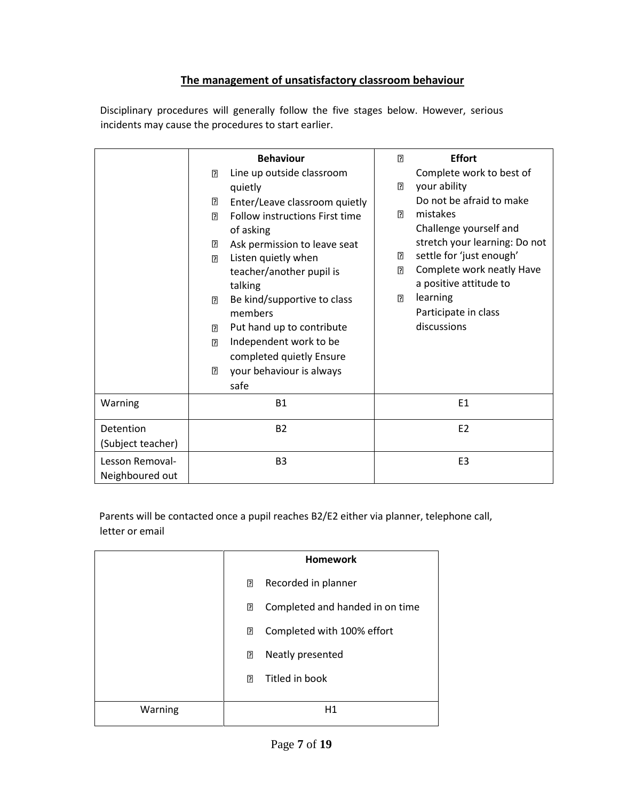## **The management of unsatisfactory classroom behaviour**

Disciplinary procedures will generally follow the five stages below. However, serious incidents may cause the procedures to start earlier.

|                                    | <b>Behaviour</b>                                                                                                                                                                                                                                                                                                                                                                                                                                                                                  | <b>Effort</b><br>$\overline{2}$                                                                                                                                                                                                                                                                            |
|------------------------------------|---------------------------------------------------------------------------------------------------------------------------------------------------------------------------------------------------------------------------------------------------------------------------------------------------------------------------------------------------------------------------------------------------------------------------------------------------------------------------------------------------|------------------------------------------------------------------------------------------------------------------------------------------------------------------------------------------------------------------------------------------------------------------------------------------------------------|
|                                    | Line up outside classroom<br>?<br>quietly<br>?<br>Enter/Leave classroom quietly<br>Follow instructions First time<br>7<br>of asking<br>Ask permission to leave seat<br>?<br>Listen quietly when<br>$\overline{2}$<br>teacher/another pupil is<br>talking<br>Be kind/supportive to class<br>$\overline{2}$<br>members<br>Put hand up to contribute<br>$\overline{2}$<br>Independent work to be<br>$\overline{2}$<br>completed quietly Ensure<br>$\overline{2}$<br>your behaviour is always<br>safe | Complete work to best of<br>your ability<br>?<br>Do not be afraid to make<br>mistakes<br>7<br>Challenge yourself and<br>stretch your learning: Do not<br>settle for 'just enough'<br>3<br>Complete work neatly Have<br>?<br>a positive attitude to<br>learning<br>?<br>Participate in class<br>discussions |
| Warning                            | <b>B1</b>                                                                                                                                                                                                                                                                                                                                                                                                                                                                                         | E1                                                                                                                                                                                                                                                                                                         |
| Detention<br>(Subject teacher)     | <b>B2</b>                                                                                                                                                                                                                                                                                                                                                                                                                                                                                         | E <sub>2</sub>                                                                                                                                                                                                                                                                                             |
| Lesson Removal-<br>Neighboured out | B <sub>3</sub>                                                                                                                                                                                                                                                                                                                                                                                                                                                                                    | E <sub>3</sub>                                                                                                                                                                                                                                                                                             |

Parents will be contacted once a pupil reaches B2/E2 either via planner, telephone call, letter or email

|         |                | <b>Homework</b>                 |
|---------|----------------|---------------------------------|
|         | ?              | Recorded in planner             |
|         | 2              | Completed and handed in on time |
|         | 2              | Completed with 100% effort      |
|         | $\mathbf{E}$   | Neatly presented                |
|         | $\overline{2}$ | Titled in book                  |
|         |                |                                 |
| Warning |                | Η1                              |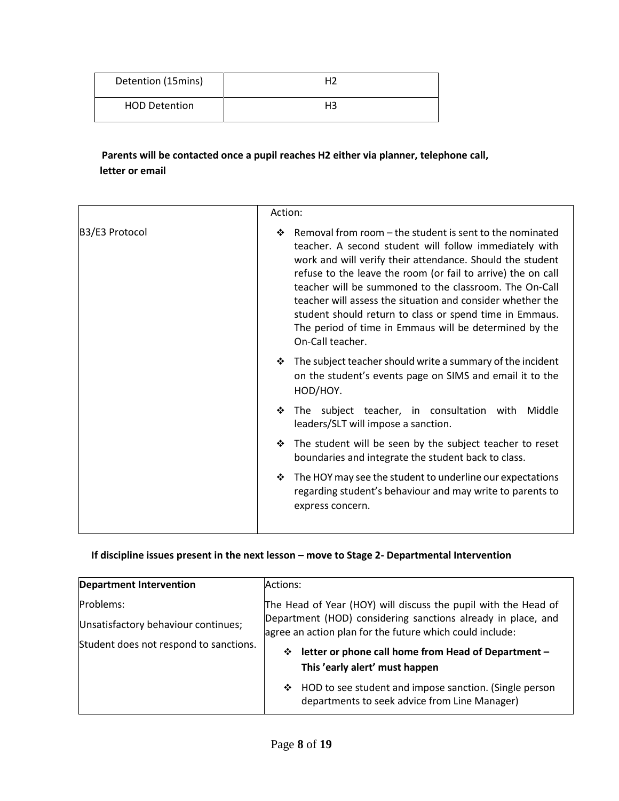| Detention (15mins)   | H2 |
|----------------------|----|
| <b>HOD Detention</b> | H3 |

**Parents will be contacted once a pupil reaches H2 either via planner, telephone call, letter or email** 

|                | Action:                                                                                                                                                                                                                                                                                                                                                                                                                                                                                                               |
|----------------|-----------------------------------------------------------------------------------------------------------------------------------------------------------------------------------------------------------------------------------------------------------------------------------------------------------------------------------------------------------------------------------------------------------------------------------------------------------------------------------------------------------------------|
| B3/E3 Protocol | Removal from room – the student is sent to the nominated<br>❖<br>teacher. A second student will follow immediately with<br>work and will verify their attendance. Should the student<br>refuse to the leave the room (or fail to arrive) the on call<br>teacher will be summoned to the classroom. The On-Call<br>teacher will assess the situation and consider whether the<br>student should return to class or spend time in Emmaus.<br>The period of time in Emmaus will be determined by the<br>On-Call teacher. |
|                | The subject teacher should write a summary of the incident<br>❖<br>on the student's events page on SIMS and email it to the<br>HOD/HOY.                                                                                                                                                                                                                                                                                                                                                                               |
|                | The subject teacher, in consultation with<br>Middle<br>❖<br>leaders/SLT will impose a sanction.                                                                                                                                                                                                                                                                                                                                                                                                                       |
|                | The student will be seen by the subject teacher to reset<br>❖<br>boundaries and integrate the student back to class.                                                                                                                                                                                                                                                                                                                                                                                                  |
|                | The HOY may see the student to underline our expectations<br>❖<br>regarding student's behaviour and may write to parents to<br>express concern.                                                                                                                                                                                                                                                                                                                                                                       |

## **If discipline issues present in the next lesson – move to Stage 2- Departmental Intervention**

| <b>Department Intervention</b>         | Actions:                                                                                                                 |
|----------------------------------------|--------------------------------------------------------------------------------------------------------------------------|
| Problems:                              | The Head of Year (HOY) will discuss the pupil with the Head of                                                           |
| Unsatisfactory behaviour continues;    | Department (HOD) considering sanctions already in place, and<br>agree an action plan for the future which could include: |
| Student does not respond to sanctions. | letter or phone call home from Head of Department -<br>❖<br>This 'early alert' must happen                               |
|                                        | ❖ HOD to see student and impose sanction. (Single person<br>departments to seek advice from Line Manager)                |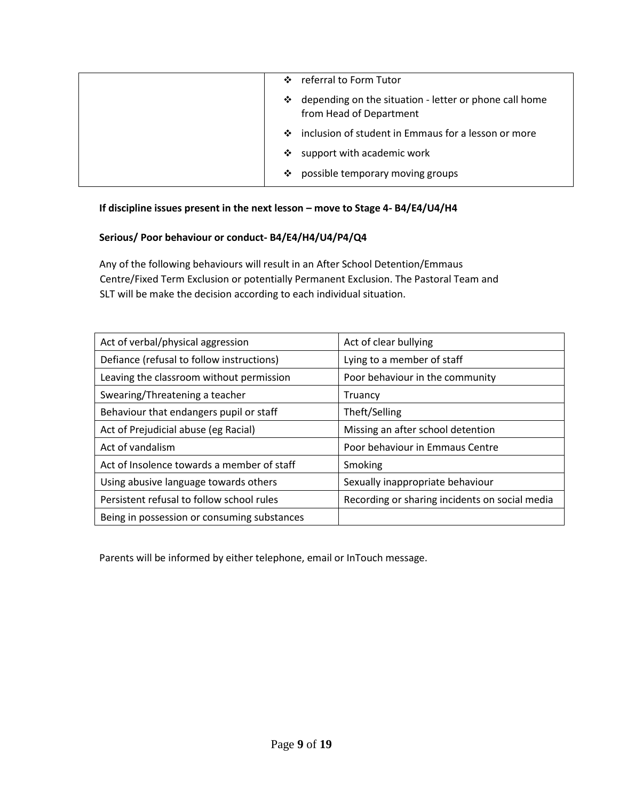|                     | ❖ referral to Form Tutor                                                            |
|---------------------|-------------------------------------------------------------------------------------|
|                     | ❖ depending on the situation - letter or phone call home<br>from Head of Department |
|                     | ❖ inclusion of student in Emmaus for a lesson or more                               |
| $\ddot{\mathbf{v}}$ | support with academic work                                                          |
| ❖                   | possible temporary moving groups                                                    |

## **If discipline issues present in the next lesson – move to Stage 4- B4/E4/U4/H4**

## **Serious/ Poor behaviour or conduct- B4/E4/H4/U4/P4/Q4**

Any of the following behaviours will result in an After School Detention/Emmaus Centre/Fixed Term Exclusion or potentially Permanent Exclusion. The Pastoral Team and SLT will be make the decision according to each individual situation.

| Act of verbal/physical aggression           | Act of clear bullying                          |
|---------------------------------------------|------------------------------------------------|
| Defiance (refusal to follow instructions)   | Lying to a member of staff                     |
| Leaving the classroom without permission    | Poor behaviour in the community                |
| Swearing/Threatening a teacher              | Truancy                                        |
| Behaviour that endangers pupil or staff     | Theft/Selling                                  |
| Act of Prejudicial abuse (eg Racial)        | Missing an after school detention              |
| Act of vandalism                            | Poor behaviour in Emmaus Centre                |
| Act of Insolence towards a member of staff  | Smoking                                        |
| Using abusive language towards others       | Sexually inappropriate behaviour               |
| Persistent refusal to follow school rules   | Recording or sharing incidents on social media |
| Being in possession or consuming substances |                                                |

Parents will be informed by either telephone, email or InTouch message.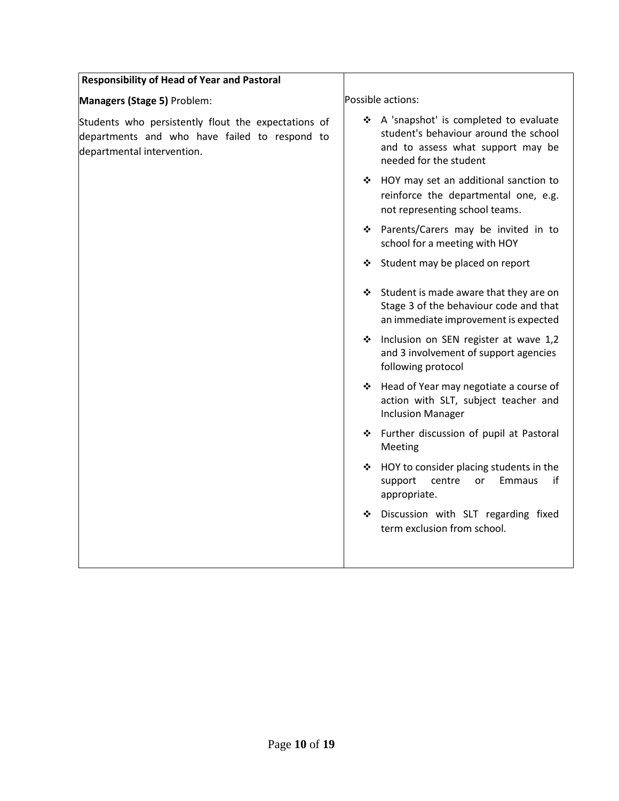| <b>Responsibility of Head of Year and Pastoral</b>                                                                                 |                                                                                                                                                 |
|------------------------------------------------------------------------------------------------------------------------------------|-------------------------------------------------------------------------------------------------------------------------------------------------|
| Managers (Stage 5) Problem:                                                                                                        | Possible actions:                                                                                                                               |
| Students who persistently flout the expectations of<br>departments and who have failed to respond to<br>departmental intervention. | ❖ A 'snapshot' is completed to evaluate<br>student's behaviour around the school<br>and to assess what support may be<br>needed for the student |
|                                                                                                                                    | ❖ HOY may set an additional sanction to<br>reinforce the departmental one, e.g.<br>not representing school teams.                               |
|                                                                                                                                    | ❖ Parents/Carers may be invited in to<br>school for a meeting with HOY                                                                          |
|                                                                                                                                    | Student may be placed on report<br>❖                                                                                                            |
|                                                                                                                                    | Student is made aware that they are on<br>Stage 3 of the behaviour code and that<br>an immediate improvement is expected                        |
|                                                                                                                                    | Inclusion on SEN register at wave 1,2<br>❖<br>and 3 involvement of support agencies<br>following protocol                                       |
|                                                                                                                                    | ❖ Head of Year may negotiate a course of<br>action with SLT, subject teacher and<br><b>Inclusion Manager</b>                                    |
|                                                                                                                                    | * Further discussion of pupil at Pastoral<br>Meeting                                                                                            |
|                                                                                                                                    | ❖ HOY to consider placing students in the<br><b>Emmaus</b><br>if<br>support<br>centre<br>or<br>appropriate.                                     |
|                                                                                                                                    | Discussion with SLT regarding fixed<br>term exclusion from school.                                                                              |
|                                                                                                                                    |                                                                                                                                                 |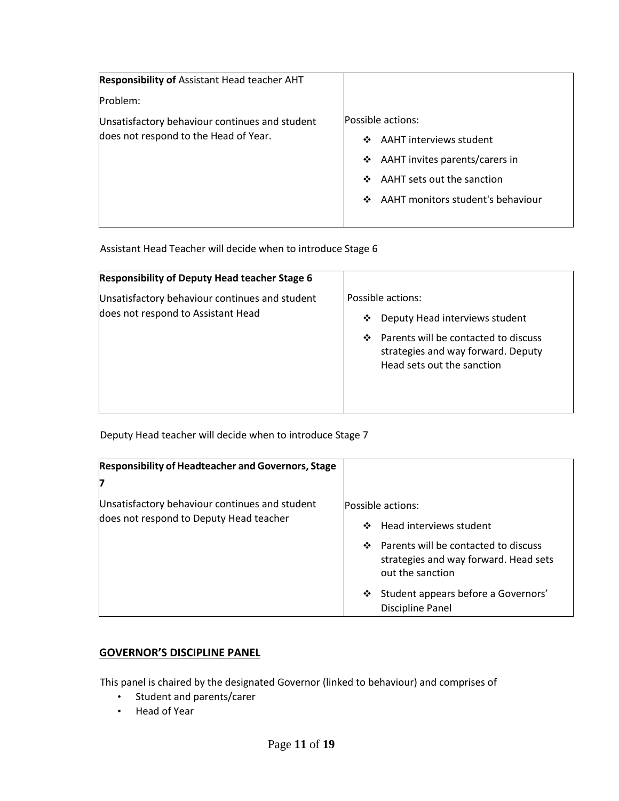| <b>Responsibility of Assistant Head teacher AHT</b> |                                        |
|-----------------------------------------------------|----------------------------------------|
| Problem:                                            |                                        |
| Unsatisfactory behaviour continues and student      | Possible actions:                      |
| does not respond to the Head of Year.               | AAHT interviews student<br>❖           |
|                                                     | AAHT invites parents/carers in<br>❖    |
|                                                     | AAHT sets out the sanction<br>❖        |
|                                                     | AAHT monitors student's behaviour<br>❖ |
|                                                     |                                        |

Assistant Head Teacher will decide when to introduce Stage 6

| <b>Responsibility of Deputy Head teacher Stage 6</b>                                 |                                                                                                                                                                           |
|--------------------------------------------------------------------------------------|---------------------------------------------------------------------------------------------------------------------------------------------------------------------------|
| Unsatisfactory behaviour continues and student<br>does not respond to Assistant Head | Possible actions:<br>Deputy Head interviews student<br>❖<br>Parents will be contacted to discuss<br>❖<br>strategies and way forward. Deputy<br>Head sets out the sanction |
|                                                                                      |                                                                                                                                                                           |

Deputy Head teacher will decide when to introduce Stage 7

| <b>Responsibility of Headteacher and Governors, Stage</b>                                 |                                                                                                        |
|-------------------------------------------------------------------------------------------|--------------------------------------------------------------------------------------------------------|
| 7                                                                                         |                                                                                                        |
| Unsatisfactory behaviour continues and student<br>does not respond to Deputy Head teacher | Possible actions:<br>Head interviews student<br>❖                                                      |
|                                                                                           | Parents will be contacted to discuss<br>❖<br>strategies and way forward. Head sets<br>out the sanction |
|                                                                                           | Student appears before a Governors'<br>❖<br>Discipline Panel                                           |

## **GOVERNOR'S DISCIPLINE PANEL**

This panel is chaired by the designated Governor (linked to behaviour) and comprises of

- Student and parents/carer
- Head of Year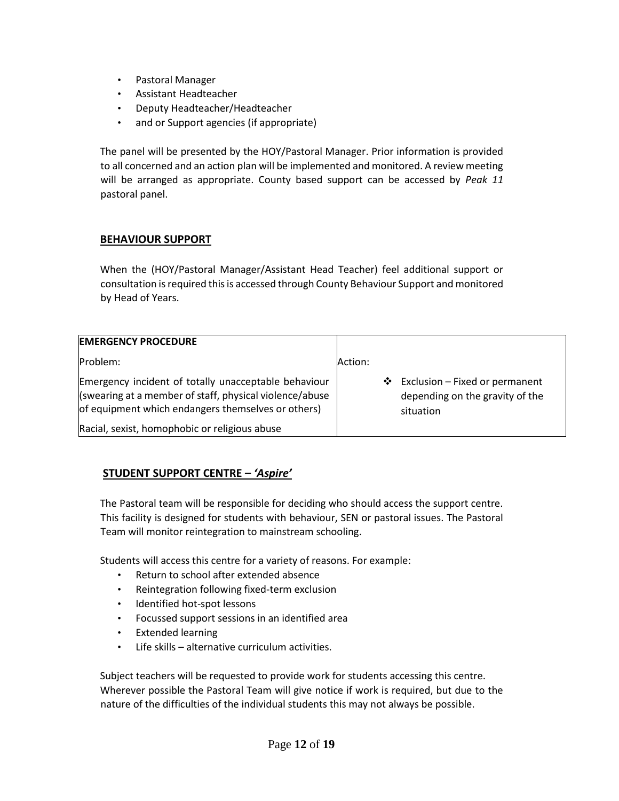- Pastoral Manager
- Assistant Headteacher
- Deputy Headteacher/Headteacher
- and or Support agencies (if appropriate)

The panel will be presented by the HOY/Pastoral Manager. Prior information is provided to all concerned and an action plan will be implemented and monitored. A review meeting will be arranged as appropriate. County based support can be accessed by *Peak 11* pastoral panel.

## **BEHAVIOUR SUPPORT**

When the (HOY/Pastoral Manager/Assistant Head Teacher) feel additional support or consultation is required this is accessed through County Behaviour Support and monitored by Head of Years.

| <b>EMERGENCY PROCEDURE</b>                                                                                                                                            |         |                                                                                  |
|-----------------------------------------------------------------------------------------------------------------------------------------------------------------------|---------|----------------------------------------------------------------------------------|
| Problem:                                                                                                                                                              | Action: |                                                                                  |
| Emergency incident of totally unacceptable behaviour<br>(swearing at a member of staff, physical violence/abuse<br>of equipment which endangers themselves or others) |         | ❖ Exclusion – Fixed or permanent<br>depending on the gravity of the<br>situation |
| Racial, sexist, homophobic or religious abuse                                                                                                                         |         |                                                                                  |

## **STUDENT SUPPORT CENTRE –** *'Aspire'*

The Pastoral team will be responsible for deciding who should access the support centre. This facility is designed for students with behaviour, SEN or pastoral issues. The Pastoral Team will monitor reintegration to mainstream schooling.

Students will access this centre for a variety of reasons. For example:

- Return to school after extended absence
- Reintegration following fixed-term exclusion
- Identified hot-spot lessons
- Focussed support sessions in an identified area
- Extended learning
- Life skills alternative curriculum activities.

Subject teachers will be requested to provide work for students accessing this centre. Wherever possible the Pastoral Team will give notice if work is required, but due to the nature of the difficulties of the individual students this may not always be possible.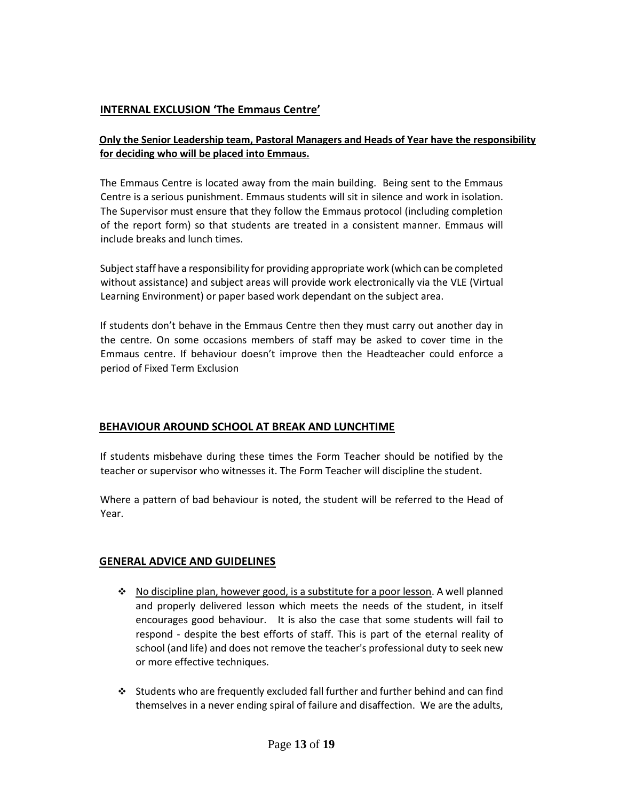## **INTERNAL EXCLUSION 'The Emmaus Centre'**

## **Only the Senior Leadership team, Pastoral Managers and Heads of Year have the responsibility for deciding who will be placed into Emmaus.**

The Emmaus Centre is located away from the main building. Being sent to the Emmaus Centre is a serious punishment. Emmaus students will sit in silence and work in isolation. The Supervisor must ensure that they follow the Emmaus protocol (including completion of the report form) so that students are treated in a consistent manner. Emmaus will include breaks and lunch times.

Subject staff have a responsibility for providing appropriate work (which can be completed without assistance) and subject areas will provide work electronically via the VLE (Virtual Learning Environment) or paper based work dependant on the subject area.

If students don't behave in the Emmaus Centre then they must carry out another day in the centre. On some occasions members of staff may be asked to cover time in the Emmaus centre. If behaviour doesn't improve then the Headteacher could enforce a period of Fixed Term Exclusion

## **BEHAVIOUR AROUND SCHOOL AT BREAK AND LUNCHTIME**

If students misbehave during these times the Form Teacher should be notified by the teacher or supervisor who witnesses it. The Form Teacher will discipline the student.

Where a pattern of bad behaviour is noted, the student will be referred to the Head of Year.

## **GENERAL ADVICE AND GUIDELINES**

- $\cdot \cdot$  No discipline plan, however good, is a substitute for a poor lesson. A well planned and properly delivered lesson which meets the needs of the student, in itself encourages good behaviour. It is also the case that some students will fail to respond - despite the best efforts of staff. This is part of the eternal reality of school (and life) and does not remove the teacher's professional duty to seek new or more effective techniques.
- $\cdot$  Students who are frequently excluded fall further and further behind and can find themselves in a never ending spiral of failure and disaffection. We are the adults,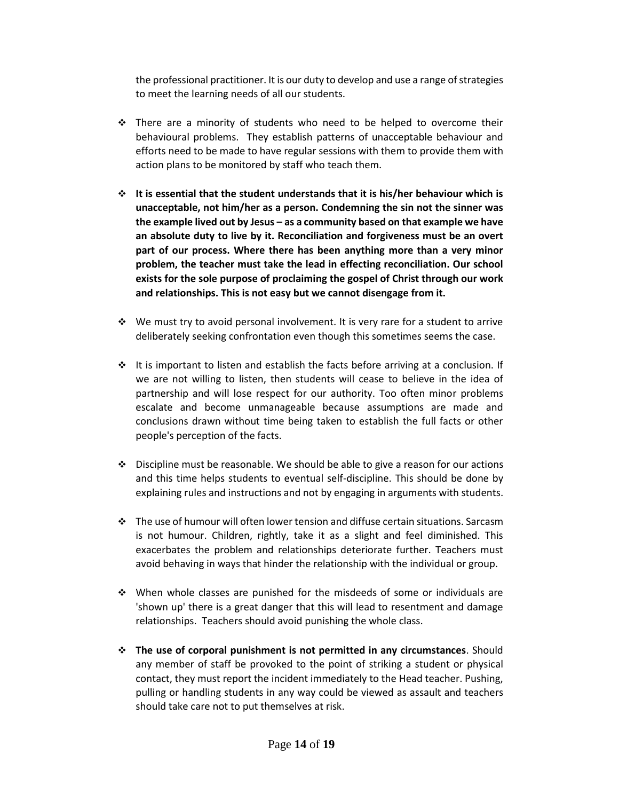the professional practitioner. It is our duty to develop and use a range of strategies to meet the learning needs of all our students.

- $\div$  There are a minority of students who need to be helped to overcome their behavioural problems. They establish patterns of unacceptable behaviour and efforts need to be made to have regular sessions with them to provide them with action plans to be monitored by staff who teach them.
- **It is essential that the student understands that it is his/her behaviour which is unacceptable, not him/her as a person. Condemning the sin not the sinner was the example lived out by Jesus – as a community based on that example we have an absolute duty to live by it. Reconciliation and forgiveness must be an overt part of our process. Where there has been anything more than a very minor problem, the teacher must take the lead in effecting reconciliation. Our school exists for the sole purpose of proclaiming the gospel of Christ through our work and relationships. This is not easy but we cannot disengage from it.**
- $\div$  We must try to avoid personal involvement. It is very rare for a student to arrive deliberately seeking confrontation even though this sometimes seems the case.
- $\cdot \cdot$  It is important to listen and establish the facts before arriving at a conclusion. If we are not willing to listen, then students will cease to believe in the idea of partnership and will lose respect for our authority. Too often minor problems escalate and become unmanageable because assumptions are made and conclusions drawn without time being taken to establish the full facts or other people's perception of the facts.
- $\cdot \cdot$  Discipline must be reasonable. We should be able to give a reason for our actions and this time helps students to eventual self-discipline. This should be done by explaining rules and instructions and not by engaging in arguments with students.
- The use of humour will often lower tension and diffuse certain situations. Sarcasm is not humour. Children, rightly, take it as a slight and feel diminished. This exacerbates the problem and relationships deteriorate further. Teachers must avoid behaving in ways that hinder the relationship with the individual or group.
- $\div$  When whole classes are punished for the misdeeds of some or individuals are 'shown up' there is a great danger that this will lead to resentment and damage relationships. Teachers should avoid punishing the whole class.
- **The use of corporal punishment is not permitted in any circumstances**. Should any member of staff be provoked to the point of striking a student or physical contact, they must report the incident immediately to the Head teacher. Pushing, pulling or handling students in any way could be viewed as assault and teachers should take care not to put themselves at risk.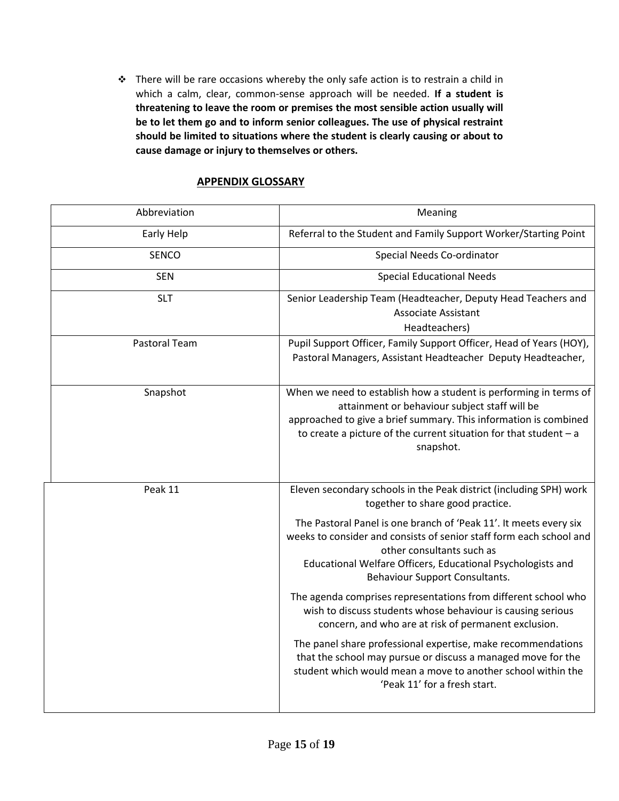\* There will be rare occasions whereby the only safe action is to restrain a child in which a calm, clear, common-sense approach will be needed. **If a student is threatening to leave the room or premises the most sensible action usually will be to let them go and to inform senior colleagues. The use of physical restraint should be limited to situations where the student is clearly causing or about to cause damage or injury to themselves or others.** 

## **APPENDIX GLOSSARY**

| Abbreviation  | Meaning                                                                                                                                                                                                                                                                    |  |
|---------------|----------------------------------------------------------------------------------------------------------------------------------------------------------------------------------------------------------------------------------------------------------------------------|--|
| Early Help    | Referral to the Student and Family Support Worker/Starting Point                                                                                                                                                                                                           |  |
| <b>SENCO</b>  | Special Needs Co-ordinator                                                                                                                                                                                                                                                 |  |
| <b>SEN</b>    | <b>Special Educational Needs</b>                                                                                                                                                                                                                                           |  |
| <b>SLT</b>    | Senior Leadership Team (Headteacher, Deputy Head Teachers and<br><b>Associate Assistant</b><br>Headteachers)                                                                                                                                                               |  |
| Pastoral Team | Pupil Support Officer, Family Support Officer, Head of Years (HOY),<br>Pastoral Managers, Assistant Headteacher Deputy Headteacher,                                                                                                                                        |  |
| Snapshot      | When we need to establish how a student is performing in terms of<br>attainment or behaviour subject staff will be<br>approached to give a brief summary. This information is combined<br>to create a picture of the current situation for that student $-$ a<br>snapshot. |  |
| Peak 11       | Eleven secondary schools in the Peak district (including SPH) work<br>together to share good practice.                                                                                                                                                                     |  |
|               | The Pastoral Panel is one branch of 'Peak 11'. It meets every six<br>weeks to consider and consists of senior staff form each school and<br>other consultants such as<br>Educational Welfare Officers, Educational Psychologists and<br>Behaviour Support Consultants.     |  |
|               | The agenda comprises representations from different school who<br>wish to discuss students whose behaviour is causing serious<br>concern, and who are at risk of permanent exclusion.                                                                                      |  |
|               | The panel share professional expertise, make recommendations<br>that the school may pursue or discuss a managed move for the<br>student which would mean a move to another school within the<br>'Peak 11' for a fresh start.                                               |  |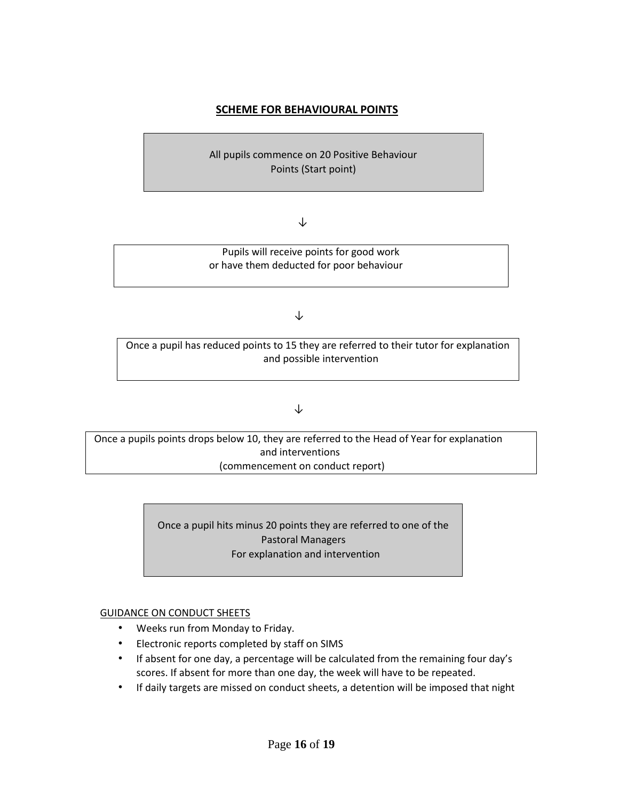## **SCHEME FOR BEHAVIOURAL POINTS**

All pupils commence on 20 Positive Behaviour Points (Start point)

#### ↓

 Pupils will receive points for good work or have them deducted for poor behaviour

#### ↓

Once a pupil has reduced points to 15 they are referred to their tutor for explanation and possible intervention

#### ↓

Once a pupils points drops below 10, they are referred to the Head of Year for explanation and interventions (commencement on conduct report)

> Once a pupil hits minus 20 points they are referred to one of the Pastoral Managers For explanation and intervention

#### GUIDANCE ON CONDUCT SHEETS

- Weeks run from Monday to Friday.
- Electronic reports completed by staff on SIMS
- If absent for one day, a percentage will be calculated from the remaining four day's scores. If absent for more than one day, the week will have to be repeated.
- If daily targets are missed on conduct sheets, a detention will be imposed that night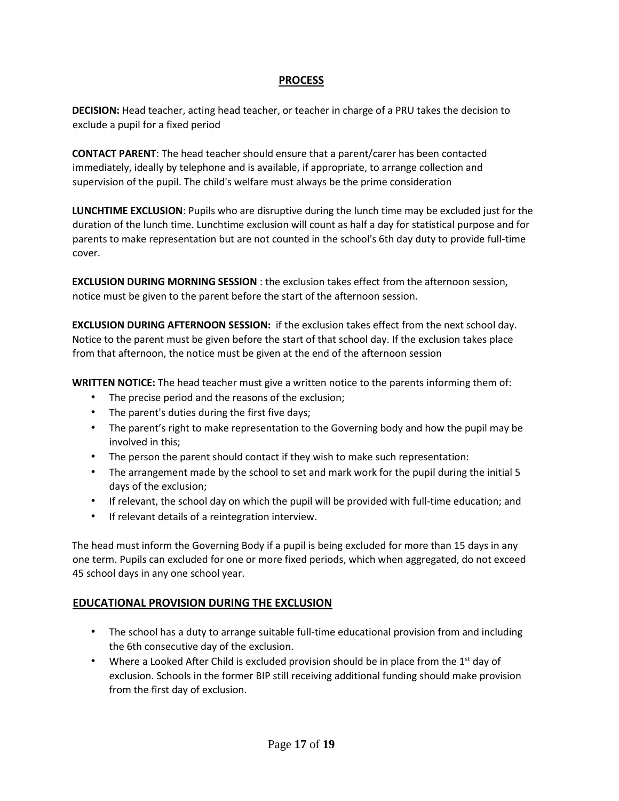## **PROCESS**

**DECISION:** Head teacher, acting head teacher, or teacher in charge of a PRU takes the decision to exclude a pupil for a fixed period

**CONTACT PARENT**: The head teacher should ensure that a parent/carer has been contacted immediately, ideally by telephone and is available, if appropriate, to arrange collection and supervision of the pupil. The child's welfare must always be the prime consideration

**LUNCHTIME EXCLUSION**: Pupils who are disruptive during the lunch time may be excluded just for the duration of the lunch time. Lunchtime exclusion will count as half a day for statistical purpose and for parents to make representation but are not counted in the school's 6th day duty to provide full-time cover.

**EXCLUSION DURING MORNING SESSION** : the exclusion takes effect from the afternoon session, notice must be given to the parent before the start of the afternoon session.

**EXCLUSION DURING AFTERNOON SESSION:** if the exclusion takes effect from the next school day. Notice to the parent must be given before the start of that school day. If the exclusion takes place from that afternoon, the notice must be given at the end of the afternoon session

**WRITTEN NOTICE:** The head teacher must give a written notice to the parents informing them of:

- The precise period and the reasons of the exclusion;
- The parent's duties during the first five days;
- The parent's right to make representation to the Governing body and how the pupil may be involved in this;
- The person the parent should contact if they wish to make such representation:
- The arrangement made by the school to set and mark work for the pupil during the initial 5 days of the exclusion;
- If relevant, the school day on which the pupil will be provided with full-time education; and
- If relevant details of a reintegration interview.

The head must inform the Governing Body if a pupil is being excluded for more than 15 days in any one term. Pupils can excluded for one or more fixed periods, which when aggregated, do not exceed 45 school days in any one school year.

## **EDUCATIONAL PROVISION DURING THE EXCLUSION**

- The school has a duty to arrange suitable full-time educational provision from and including the 6th consecutive day of the exclusion.
- Where a Looked After Child is excluded provision should be in place from the  $1<sup>st</sup>$  day of exclusion. Schools in the former BIP still receiving additional funding should make provision from the first day of exclusion.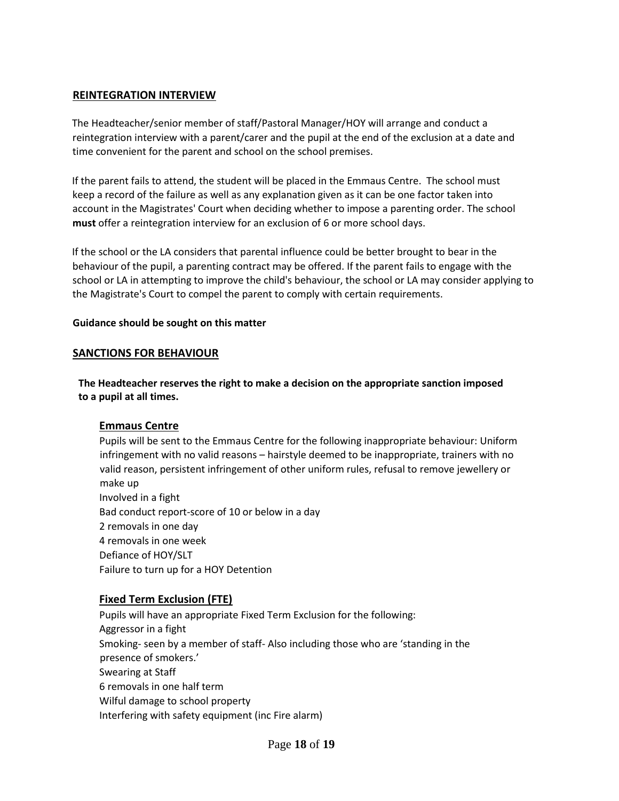## **REINTEGRATION INTERVIEW**

The Headteacher/senior member of staff/Pastoral Manager/HOY will arrange and conduct a reintegration interview with a parent/carer and the pupil at the end of the exclusion at a date and time convenient for the parent and school on the school premises.

If the parent fails to attend, the student will be placed in the Emmaus Centre. The school must keep a record of the failure as well as any explanation given as it can be one factor taken into account in the Magistrates' Court when deciding whether to impose a parenting order. The school **must** offer a reintegration interview for an exclusion of 6 or more school days.

If the school or the LA considers that parental influence could be better brought to bear in the behaviour of the pupil, a parenting contract may be offered. If the parent fails to engage with the school or LA in attempting to improve the child's behaviour, the school or LA may consider applying to the Magistrate's Court to compel the parent to comply with certain requirements.

#### **Guidance should be sought on this matter**

#### **SANCTIONS FOR BEHAVIOUR**

**The Headteacher reserves the right to make a decision on the appropriate sanction imposed to a pupil at all times.** 

## **Emmaus Centre**

Pupils will be sent to the Emmaus Centre for the following inappropriate behaviour: Uniform infringement with no valid reasons – hairstyle deemed to be inappropriate, trainers with no valid reason, persistent infringement of other uniform rules, refusal to remove jewellery or make up Involved in a fight Bad conduct report-score of 10 or below in a day 2 removals in one day 4 removals in one week Defiance of HOY/SLT Failure to turn up for a HOY Detention

## **Fixed Term Exclusion (FTE)**

Pupils will have an appropriate Fixed Term Exclusion for the following: Aggressor in a fight Smoking- seen by a member of staff- Also including those who are 'standing in the presence of smokers.' Swearing at Staff 6 removals in one half term Wilful damage to school property Interfering with safety equipment (inc Fire alarm)